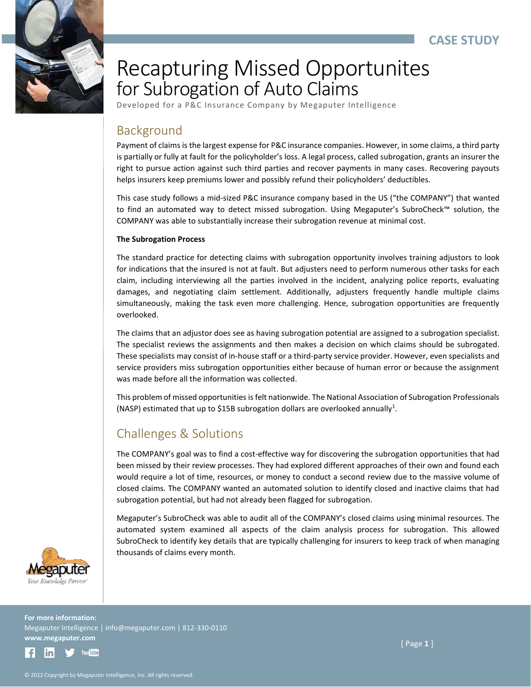

# Recapturing Missed Opportunites for Subrogation of Auto Claims

Developed for a P&C Insurance Company by Megaputer Intelligence

# Background

Payment of claims is the largest expense for P&C insurance companies. However, in some claims, a third party is partially or fully at fault for the policyholder's loss. A legal process, called subrogation, grants an insurer the right to pursue action against such third parties and recover payments in many cases. Recovering payouts helps insurers keep premiums lower and possibly refund their policyholders' deductibles.

This case study follows a mid-sized P&C insurance company based in the US ("the COMPANY") that wanted to find an automated way to detect missed subrogation. Using Megaputer's SubroCheck™ solution, the COMPANY was able to substantially increase their subrogation revenue at minimal cost.

#### **The Subrogation Process**

The standard practice for detecting claims with subrogation opportunity involves training adjustors to look for indications that the insured is not at fault. But adjusters need to perform numerous other tasks for each claim, including interviewing all the parties involved in the incident, analyzing police reports, evaluating damages, and negotiating claim settlement. Additionally, adjusters frequently handle multiple claims simultaneously, making the task even more challenging. Hence, subrogation opportunities are frequently overlooked.

The claims that an adjustor does see as having subrogation potential are assigned to a subrogation specialist. The specialist reviews the assignments and then makes a decision on which claims should be subrogated. These specialists may consist of in-house staff or a third-party service provider. However, even specialists and service providers miss subrogation opportunities either because of human error or because the assignment was made before all the information was collected.

This problem of missed opportunities is felt nationwide. The National Association of Subrogation Professionals (NASP) estimated that up to \$15B subrogation dollars are overlooked annually<sup>1</sup>.

# Challenges & Solutions

The COMPANY's goal was to find a cost-effective way for discovering the subrogation opportunities that had been missed by their review processes. They had explored different approaches of their own and found each would require a lot of time, resources, or money to conduct a second review due to the massive volume of closed claims. The COMPANY wanted an automated solution to identify closed and inactive claims that had subrogation potential, but had not already been flagged for subrogation.

Megaputer's SubroCheck was able to audit all of the COMPANY's closed claims using minimal resources. The automated system examined all aspects of the claim analysis process for subrogation. This allowed SubroCheck to identify key details that are typically challenging for insurers to keep track of when managing thousands of claims every month.



**For more information:** Megaputer Intelligence | info@megaputer.com | 812-330-0110 **www.megaputer.com** 

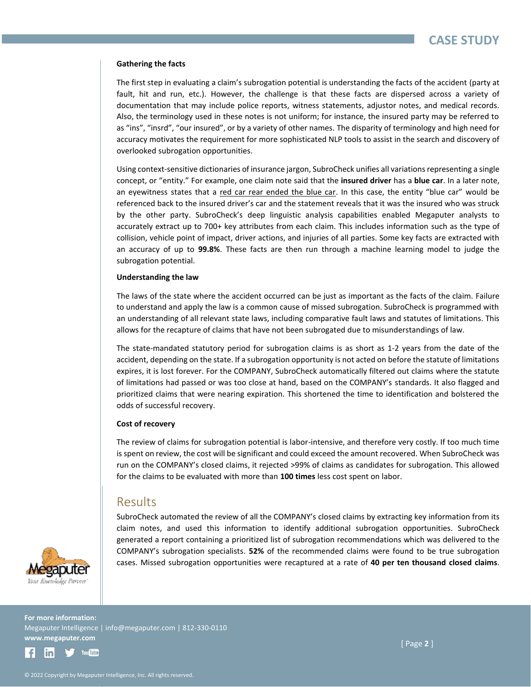#### **Gathering the facts**

The first step in evaluating a claim's subrogation potential is understanding the facts of the accident (party at fault, hit and run, etc.). However, the challenge is that these facts are dispersed across a variety of documentation that may include police reports, witness statements, adjustor notes, and medical records. Also, the terminology used in these notes is not uniform; for instance, the insured party may be referred to as "ins", "insrd", "our insured", or by a variety of other names. The disparity of terminology and high need for accuracy motivates the requirement for more sophisticated NLP tools to assist in the search and discovery of overlooked subrogation opportunities.

Using context-sensitive dictionaries of insurance jargon, SubroCheck unifies all variations representing a single concept, or "entity." For example, one claim note said that the **insured driver** has a **blue car**. In a later note, an eyewitness states that a red car rear ended the blue car. In this case, the entity "blue car" would be referenced back to the insured driver's car and the statement reveals that it was the insured who was struck by the other party. SubroCheck's deep linguistic analysis capabilities enabled Megaputer analysts to accurately extract up to 700+ key attributes from each claim. This includes information such as the type of collision, vehicle point of impact, driver actions, and injuries of all parties. Some key facts are extracted with an accuracy of up to **99.8%**. These facts are then run through a machine learning model to judge the subrogation potential.

#### **Understanding the law**

The laws of the state where the accident occurred can be just as important as the facts of the claim. Failure to understand and apply the law is a common cause of missed subrogation. SubroCheck is programmed with an understanding of all relevant state laws, including comparative fault laws and statutes of limitations. This allows for the recapture of claims that have not been subrogated due to misunderstandings of law.

The state-mandated statutory period for subrogation claims is as short as 1-2 years from the date of the accident, depending on the state. If a subrogation opportunity is not acted on before the statute of limitations expires, it is lost forever. For the COMPANY, SubroCheck automatically filtered out claims where the statute of limitations had passed or was too close at hand, based on the COMPANY's standards. It also flagged and prioritized claims that were nearing expiration. This shortened the time to identification and bolstered the odds of successful recovery.

#### **Cost of recovery**

The review of claims for subrogation potential is labor-intensive, and therefore very costly. If too much time is spent on review, the cost will be significant and could exceed the amount recovered. When SubroCheck was run on the COMPANY's closed claims, it rejected >99% of claims as candidates for subrogation. This allowed for the claims to be evaluated with more than **100 times** less cost spent on labor.

### Results

SubroCheck automated the review of all the COMPANY's closed claims by extracting key information from its claim notes, and used this information to identify additional subrogation opportunities. SubroCheck generated a report containing a prioritized list of subrogation recommendations which was delivered to the COMPANY's subrogation specialists. **52%** of the recommended claims were found to be true subrogation cases. Missed subrogation opportunities were recaptured at a rate of **40 per ten thousand closed claims**.



**For more information:** Megaputer Intelligence | info@megaputer.com | 812-330-0110 **www.megaputer.com** 



[ Page **2** ]